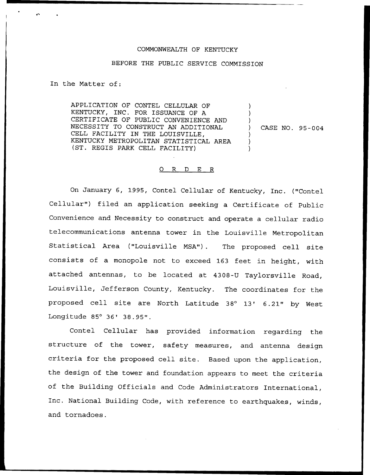## COMMONWEALTH OF KENTUCKY

## BEFORE THE PUBLIC SERVICE COMMISSION

In the Matter of:

APPLICATION OF CONTEL CELLULAR OF KENTUCKY, INC. FOR ISSUANCE OF A CERTIFICATE OF PUBLIC CONVENIENCE AND NECESSITY TO CONSTRUCT AN ADDITIONAL CELL FACILITY IN THE LOUISVILLE, KENTUCKY METROPOLITAN STATISTICAL AREA (ST. REGIS PARK CELL FACILITY)

) CASE NO. 95-004

) ) )

) ) )

## 0 R <sup>D</sup> E R

On January 6, 1995, Contel Cellular of Kentucky, Inc. ("Contel Cellular") filed an application seeking a Certificate of Public Convenience and Necessity to construct and operate a cellular radio telecommunications antenna tower in the Louisville Metropolitan Statistical Area ("Louisville MSA"). The proposed cell site consists of a monopole not to exceed 163 feet in height, with attached antennas, to be located at 4308-U Taylorsville Road, Louisville, Jefferson County, Kentucky. The coordinates for the proposed cell site are North Latitude 38° 13' 6.21" by West Longitude 85° 36' 38.95".

Contel Cellular has provided information regarding the structure of the tower, safety measures, and antenna design criteria for the proposed cell site. Based upon the application, the design of the tower and foundation appears to meet the criteria of the Building Officials and Code Administrators International, Inc. National Building Code, with reference to earthquakes, winds, and tornadoes.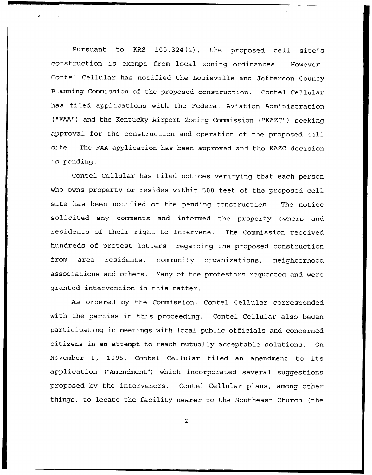Pursuant to KRS 100.324(1), the proposed cell site's construction is exempt from local zoning ordinances. However, Contel Cellular has notified the Louisville and Jefferson County Planning Commission of the proposed construction. Contel Cellular has filed applications with the Federal Aviation Administration ("FAA") and the Kentucky Airport Zoning Commission ("KAZC") seeking approval for the construction and operation of the proposed cell site. The FAA application has been approved and the KAZC decision is pending.

Contel Cellular has filed notices verifying that each person who owns property or resides within 500 feet of the proposed cell site has been notified of the pending construction. The notice solicited any comments and informed the property owners and residents of their right to intervene. The Commission received hundreds of protest letters regarding the proposed construction from area residents, community organizations, neighborhood associations and others. Many of the protestors requested and were granted intervention in this matter.

As ordered by the Commission, Contel Cellular corresponded with the parties in this proceeding. Contel Cellular also began participating in meetings with local public officials and concerned citizens in an attempt to reach mutually acceptable solutions. On November 6, 1995, Contel Cellular filed an amendment to its application ("Amendment") which incorporated several suggestions proposed by the intervenors. Contel Cellular plans, among other things, to locate the facility nearer to the Southeast Church (the

 $-2-$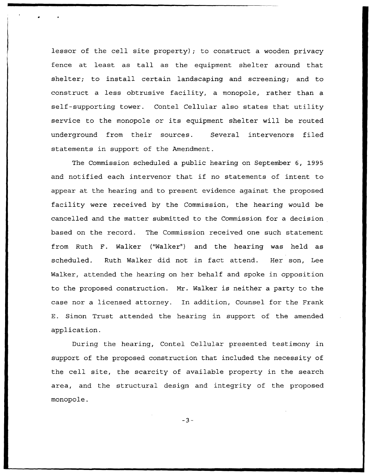lessor of the cell site property); to construct a wooden privacy fence at least as tall as the equipment shelter around that shelter; to install certain landscaping and screening; and to construct a less obtrusive facility, a monopole, rather than a self-supporting tower. Contel Cellular also states that utility service to the monopole or its equipment shelter will be routed underground from their sources. Several intervenors filed statements in support of the Amendment.

The Commission scheduled a public hearing on September 6, 1995 and notified each intervenor that if no statements of intent to appear at the hearing and to present evidence against the proposed facility were received by the Commission, the hearing would be cancelled and the matter submitted to the Commission for a decision based on the record. The Commission received one such statement from Ruth F. Walker ("Walker") and the hearing was held as scheduled. Ruth Walker did not in fact attend. Her son, Lee Walker, attended the hearing on her behalf and spoke in opposition to the proposed construction. Mr. Walker is neither a party to the case nor a licensed attorney. In addition, Counsel for the Frank E. Simon Trust attended the hearing in support of the amended application.

During the hearing, Contel Cellular presented testimony in support of the proposed construction that included the necessity of the cell site, the scarcity of available property in the search area, and the structural design and integrity of the proposed monopole.

 $-3-$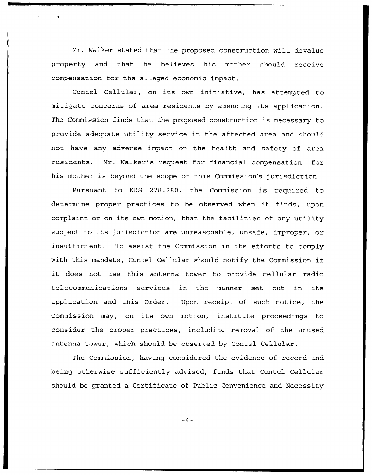Mr. Walker stated that the proposed construction will devalue property and that he believes his mother should receive compensation for the alleged economic impact .

Contel Cellular, on its own initiative, has attempted to mitigate concerns of area residents by amending its application. The Commission finds that the proposed construction is necessary to provide adequate utility service in the affected area and should not have any adverse impact on the health and safety of area residents. Mr. Walker's request for financial compensation for his mother is beyond the scope of this Commission's jurisdiction.

Pursuant to KRS 278.280, the Commission is required to determine proper practices to be observed when it finds, upon complaint or on its own motion, that the facilities of any utility subject to its jurisdiction are unreasonable, unsafe, improper, or insufficient. To assist the Commission in its efforts to comply with this mandate, Contel Cellular should notify the Commission if it does not use this antenna tower to provide cellular radio telecommunications services in the manner set out in its application and this Order. Upon receipt of such notice, the Commission may, on its own motion, institute proceedings to consider the proper practices, including removal of the unused antenna tower, which should be observed by Contel Cellular.

The Commission, having considered the evidence of record and being otherwise sufficiently advised, finds that Contel Cellular should be granted a Certificate of Public Convenience and Necessity

 $-4-$